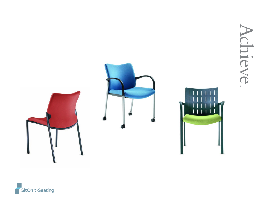